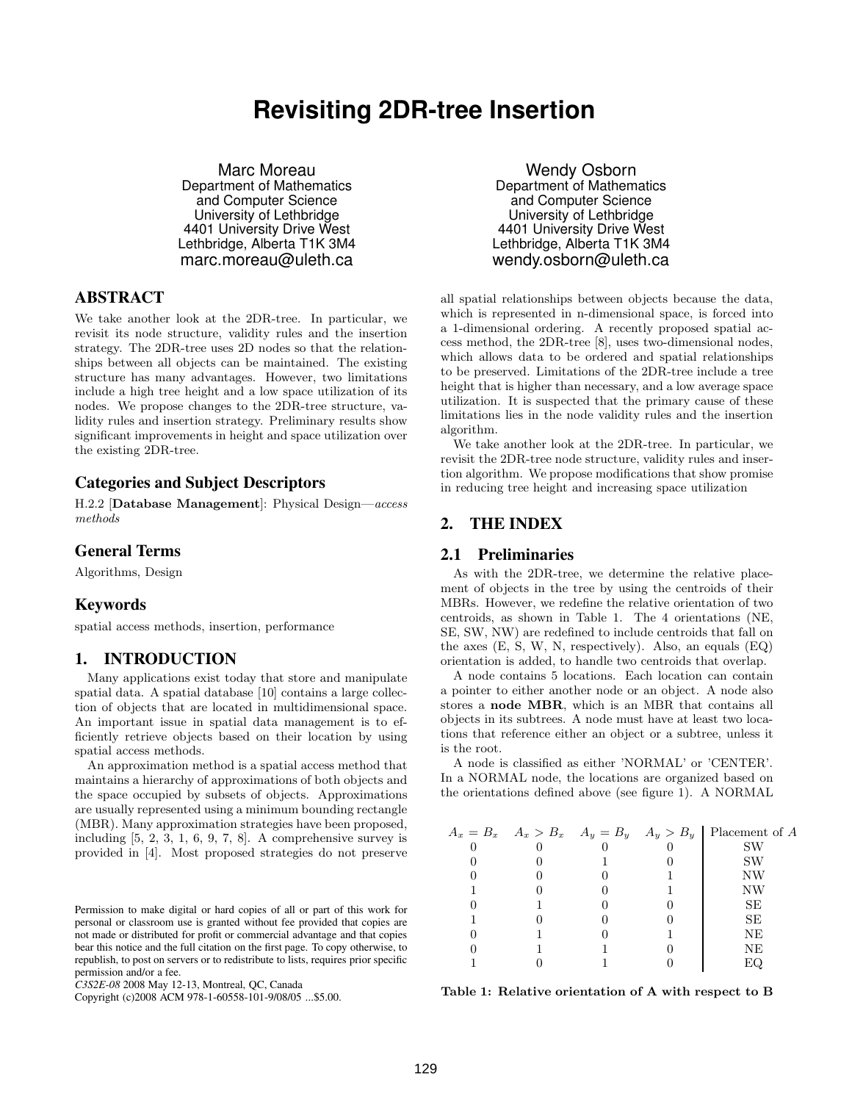# **Revisiting 2DR-tree Insertion**

Marc Moreau Department of Mathematics and Computer Science University of Lethbridge 4401 University Drive West Lethbridge, Alberta T1K 3M4 marc.moreau@uleth.ca

# **ABSTRACT**

We take another look at the 2DR-tree. In particular, we revisit its node structure, validity rules and the insertion strategy. The 2DR-tree uses 2D nodes so that the relationships between all objects can be maintained. The existing structure has many advantages. However, two limitations include a high tree height and a low space utilization of its nodes. We propose changes to the 2DR-tree structure, validity rules and insertion strategy. Preliminary results show significant improvements in height and space utilization over the existing 2DR-tree.

## **Categories and Subject Descriptors**

H.2.2 [Database Management]: Physical Design—access methods

## **General Terms**

Algorithms, Design

## **Keywords**

spatial access methods, insertion, performance

## **1. INTRODUCTION**

Many applications exist today that store and manipulate spatial data. A spatial database [10] contains a large collection of objects that are located in multidimensional space. An important issue in spatial data management is to efficiently retrieve objects based on their location by using spatial access methods.

An approximation method is a spatial access method that maintains a hierarchy of approximations of both objects and the space occupied by subsets of objects. Approximations are usually represented using a minimum bounding rectangle (MBR). Many approximation strategies have been proposed, including  $[5, 2, 3, 1, 6, 9, 7, 8]$ . A comprehensive survey is provided in [4]. Most proposed strategies do not preserve

Copyright (c)2008 ACM 978-1-60558-101-9/08/05 ...\$5.00.

Wendy Osborn Department of Mathematics and Computer Science University of Lethbridge 4401 University Drive West Lethbridge, Alberta T1K 3M4 wendy.osborn@uleth.ca

all spatial relationships between objects because the data, which is represented in n-dimensional space, is forced into a 1-dimensional ordering. A recently proposed spatial access method, the 2DR-tree [8], uses two-dimensional nodes, which allows data to be ordered and spatial relationships to be preserved. Limitations of the 2DR-tree include a tree height that is higher than necessary, and a low average space utilization. It is suspected that the primary cause of these limitations lies in the node validity rules and the insertion algorithm.

We take another look at the 2DR-tree. In particular, we revisit the 2DR-tree node structure, validity rules and insertion algorithm. We propose modifications that show promise in reducing tree height and increasing space utilization

# **2. THE INDEX**

#### **2.1 Preliminaries**

As with the 2DR-tree, we determine the relative placement of objects in the tree by using the centroids of their MBRs. However, we redefine the relative orientation of two centroids, as shown in Table 1. The 4 orientations (NE, SE, SW, NW) are redefined to include centroids that fall on the axes (E, S, W, N, respectively). Also, an equals (EQ) orientation is added, to handle two centroids that overlap.

A node contains 5 locations. Each location can contain a pointer to either another node or an object. A node also stores a node MBR, which is an MBR that contains all objects in its subtrees. A node must have at least two locations that reference either an object or a subtree, unless it is the root.

A node is classified as either 'NORMAL' or 'CENTER'. In a NORMAL node, the locations are organized based on the orientations defined above (see figure 1). A NORMAL

|  |  | $A_x = B_x$ $A_x > B_x$ $A_y = B_y$ $A_y > B_y$ Placement of A |
|--|--|----------------------------------------------------------------|
|  |  | SW                                                             |
|  |  | SW                                                             |
|  |  | NW                                                             |
|  |  | ΝW                                                             |
|  |  | SЕ                                                             |
|  |  | SЕ                                                             |
|  |  | NE                                                             |
|  |  | NΕ                                                             |
|  |  |                                                                |

Table 1: Relative orientation of A with respect to B

Permission to make digital or hard copies of all or part of this work for personal or classroom use is granted without fee provided that copies are not made or distributed for profit or commercial advantage and that copies bear this notice and the full citation on the first page. To copy otherwise, to republish, to post on servers or to redistribute to lists, requires prior specific permission and/or a fee.

*C3S2E-08* 2008 May 12-13, Montreal, QC, Canada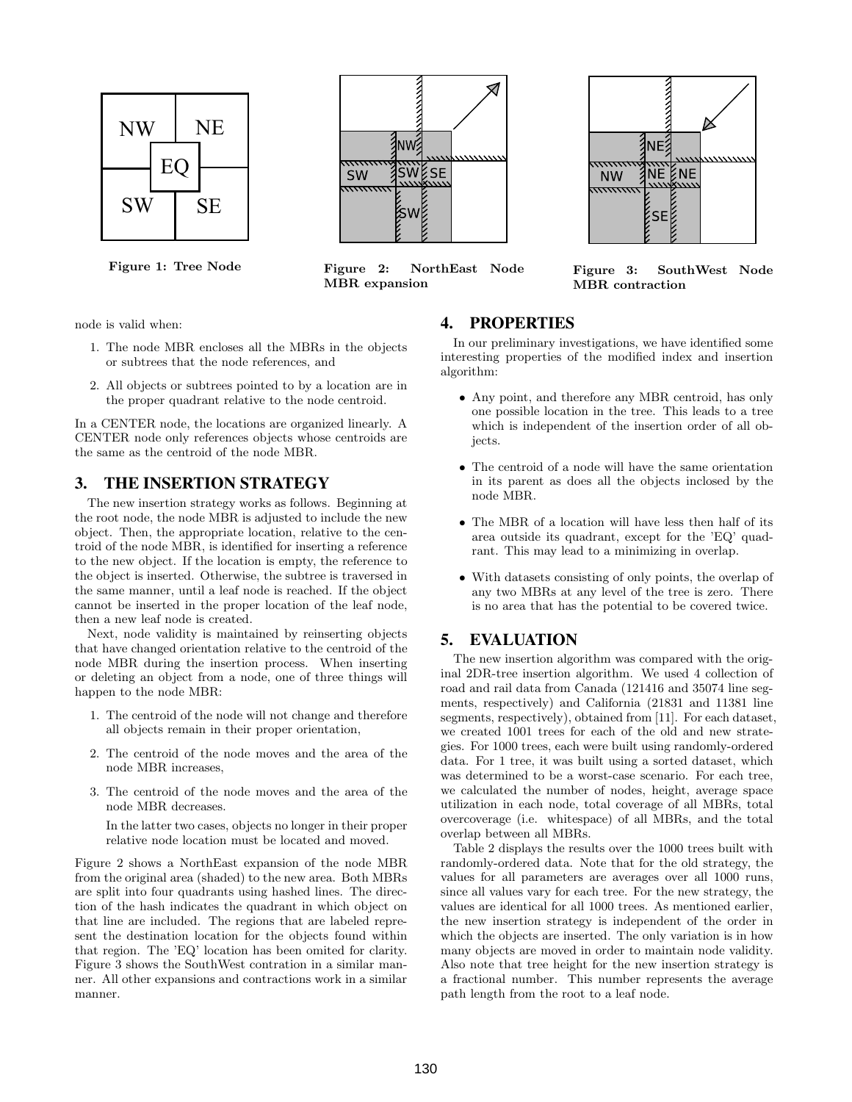



Figure 1: Tree Node Figure 2: NorthEast Node MBR expansion



Figure 3: SouthWest Node MBR contraction

node is valid when:

- 1. The node MBR encloses all the MBRs in the objects or subtrees that the node references, and
- 2. All objects or subtrees pointed to by a location are in the proper quadrant relative to the node centroid.

In a CENTER node, the locations are organized linearly. A CENTER node only references objects whose centroids are the same as the centroid of the node MBR.

## **3. THE INSERTION STRATEGY**

The new insertion strategy works as follows. Beginning at the root node, the node MBR is adjusted to include the new object. Then, the appropriate location, relative to the centroid of the node MBR, is identified for inserting a reference to the new object. If the location is empty, the reference to the object is inserted. Otherwise, the subtree is traversed in the same manner, until a leaf node is reached. If the object cannot be inserted in the proper location of the leaf node, then a new leaf node is created.

Next, node validity is maintained by reinserting objects that have changed orientation relative to the centroid of the node MBR during the insertion process. When inserting or deleting an object from a node, one of three things will happen to the node MBR:

- 1. The centroid of the node will not change and therefore all objects remain in their proper orientation,
- 2. The centroid of the node moves and the area of the node MBR increases,
- 3. The centroid of the node moves and the area of the node MBR decreases.

In the latter two cases, objects no longer in their proper relative node location must be located and moved.

Figure 2 shows a NorthEast expansion of the node MBR from the original area (shaded) to the new area. Both MBRs are split into four quadrants using hashed lines. The direction of the hash indicates the quadrant in which object on that line are included. The regions that are labeled represent the destination location for the objects found within that region. The 'EQ' location has been omited for clarity. Figure 3 shows the SouthWest contration in a similar manner. All other expansions and contractions work in a similar manner.

## **4. PROPERTIES**

In our preliminary investigations, we have identified some interesting properties of the modified index and insertion algorithm:

- Any point, and therefore any MBR centroid, has only one possible location in the tree. This leads to a tree which is independent of the insertion order of all objects.
- The centroid of a node will have the same orientation in its parent as does all the objects inclosed by the node MBR.
- The MBR of a location will have less then half of its area outside its quadrant, except for the 'EQ' quadrant. This may lead to a minimizing in overlap.
- With datasets consisting of only points, the overlap of any two MBRs at any level of the tree is zero. There is no area that has the potential to be covered twice.

# **5. EVALUATION**

The new insertion algorithm was compared with the original 2DR-tree insertion algorithm. We used 4 collection of road and rail data from Canada (121416 and 35074 line segments, respectively) and California (21831 and 11381 line segments, respectively), obtained from [11]. For each dataset, we created 1001 trees for each of the old and new strategies. For 1000 trees, each were built using randomly-ordered data. For 1 tree, it was built using a sorted dataset, which was determined to be a worst-case scenario. For each tree, we calculated the number of nodes, height, average space utilization in each node, total coverage of all MBRs, total overcoverage (i.e. whitespace) of all MBRs, and the total overlap between all MBRs.

Table 2 displays the results over the 1000 trees built with randomly-ordered data. Note that for the old strategy, the values for all parameters are averages over all 1000 runs, since all values vary for each tree. For the new strategy, the values are identical for all 1000 trees. As mentioned earlier, the new insertion strategy is independent of the order in which the objects are inserted. The only variation is in how many objects are moved in order to maintain node validity. Also note that tree height for the new insertion strategy is a fractional number. This number represents the average path length from the root to a leaf node.